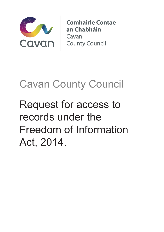

**Comhairle Contae** an Chabháin Cavan **County Council** 

## Cavan County Council

Request for access to records under the Freedom of Information Act, 2014.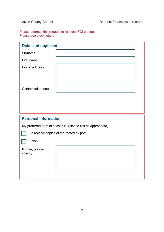## Please address this request to relevant FOI contact Please use block letters

| <b>Details of applicant</b>                                  |  |  |  |
|--------------------------------------------------------------|--|--|--|
| Surname                                                      |  |  |  |
| First name                                                   |  |  |  |
| Postal address                                               |  |  |  |
|                                                              |  |  |  |
|                                                              |  |  |  |
| Contact telephone                                            |  |  |  |
|                                                              |  |  |  |
|                                                              |  |  |  |
|                                                              |  |  |  |
| <b>Personal information</b>                                  |  |  |  |
| My preferred form of access is: (please tick as appropriate) |  |  |  |
| To receive copies of the record by post                      |  |  |  |
| Other                                                        |  |  |  |
| If other, please                                             |  |  |  |
| specify                                                      |  |  |  |
|                                                              |  |  |  |
|                                                              |  |  |  |
|                                                              |  |  |  |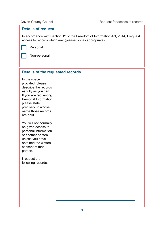## **Details of request**

In accordance with Section 12 of the Freedom of Information Act, 2014, I request access to records which are: (please tick as appropriate)

Personal

Non-personal

## **Details of the requested records**

In the space provided, please describe the records as fully as you can. If you are requesting Personal Information, please state precisely, in whose name those records are held.

You will not normally be given access to personal information of another person unless you have obtained the written consent of that person.

I request the following records:

3